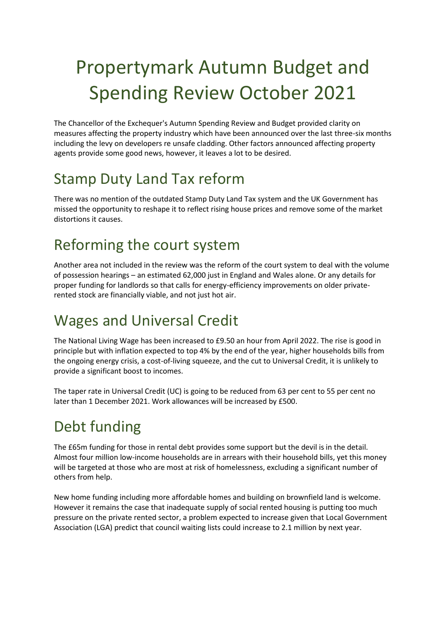# Propertymark Autumn Budget and Spending Review October 2021

The Chancellor of the Exchequer's Autumn Spending Review and Budget provided clarity on measures affecting the property industry which have been announced over the last three-six months including the levy on developers re unsafe cladding. Other factors announced affecting property agents provide some good news, however, it leaves a lot to be desired.

# Stamp Duty Land Tax reform

There was no mention of the outdated Stamp Duty Land Tax system and the UK Government has missed the opportunity to reshape it to reflect rising house prices and remove some of the market distortions it causes.

#### Reforming the court system

Another area not included in the review was the reform of the court system to deal with the volume of possession hearings – an estimated 62,000 just in England and Wales alone. Or any details for proper funding for landlords so that calls for energy-efficiency improvements on older privaterented stock are financially viable, and not just hot air.

## Wages and Universal Credit

The National Living Wage has been increased to £9.50 an hour from April 2022. The rise is good in principle but with inflation expected to top 4% by the end of the year, higher households bills from the ongoing energy crisis, a cost-of-living squeeze, and the cut to Universal Credit, it is unlikely to provide a significant boost to incomes.

The taper rate in Universal Credit (UC) is going to be reduced from 63 per cent to 55 per cent no later than 1 December 2021. Work allowances will be increased by £500.

# Debt funding

The £65m funding for those in rental debt provides some support but the devil is in the detail. Almost four million low-income households are in arrears with their household bills, yet this money will be targeted at those who are most at risk of homelessness, excluding a significant number of others from help.

New home funding including more affordable homes and building on brownfield land is welcome. However it remains the case that inadequate supply of social rented housing is putting too much pressure on the private rented sector, a problem expected to increase given that Local Government Association (LGA) predict that council waiting lists could increase to 2.1 million by next year.